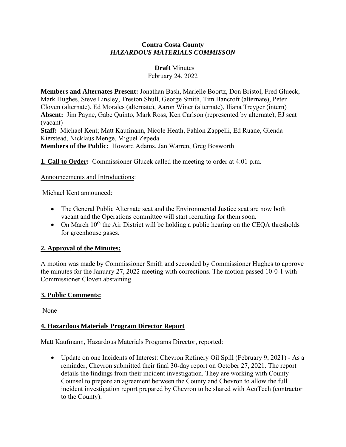### **Contra Costa County** *HAZARDOUS MATERIALS COMMISSON*

#### **Draft** Minutes

February 24, 2022

**Members and Alternates Present:** Jonathan Bash, Marielle Boortz, Don Bristol, Fred Glueck, Mark Hughes, Steve Linsley, Treston Shull, George Smith, Tim Bancroft (alternate), Peter Cloven (alternate), Ed Morales (alternate), Aaron Winer (alternate), Iliana Treyger (intern) **Absent:** Jim Payne, Gabe Quinto, Mark Ross, Ken Carlson (represented by alternate), EJ seat (vacant)

**Staff:** Michael Kent; Matt Kaufmann, Nicole Heath, Fahlon Zappelli, Ed Ruane, Glenda Kierstead, Nicklaus Menge, Miguel Zepeda

**Members of the Public:** Howard Adams, Jan Warren, Greg Bosworth

**1. Call to Order:** Commissioner Glucek called the meeting to order at 4:01 p.m.

Announcements and Introductions:

Michael Kent announced:

- The General Public Alternate seat and the Environmental Justice seat are now both vacant and the Operations committee will start recruiting for them soon.
- On March  $10^{th}$  the Air District will be holding a public hearing on the CEOA thresholds for greenhouse gases.

## **2. Approval of the Minutes:**

A motion was made by Commissioner Smith and seconded by Commissioner Hughes to approve the minutes for the January 27, 2022 meeting with corrections. The motion passed 10-0-1 with Commissioner Cloven abstaining.

## **3. Public Comments:**

None

## **4. Hazardous Materials Program Director Report**

Matt Kaufmann, Hazardous Materials Programs Director, reported:

• Update on one Incidents of Interest: Chevron Refinery Oil Spill (February 9, 2021) - As a reminder, Chevron submitted their final 30-day report on October 27, 2021. The report details the findings from their incident investigation. They are working with County Counsel to prepare an agreement between the County and Chevron to allow the full incident investigation report prepared by Chevron to be shared with AcuTech (contractor to the County).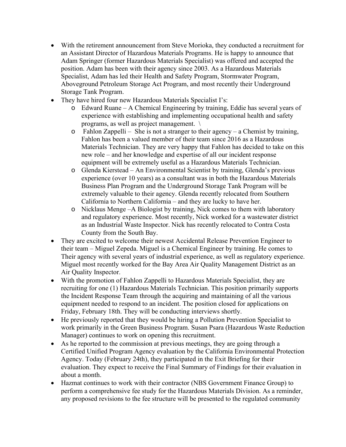- With the retirement announcement from Steve Morioka, they conducted a recruitment for an Assistant Director of Hazardous Materials Programs. He is happy to announce that Adam Springer (former Hazardous Materials Specialist) was offered and accepted the position. Adam has been with their agency since 2003. As a Hazardous Materials Specialist, Adam has led their Health and Safety Program, Stormwater Program, Aboveground Petroleum Storage Act Program, and most recently their Underground Storage Tank Program.
- They have hired four new Hazardous Materials Specialist I's:
	- o Edward Ruane A Chemical Engineering by training, Eddie has several years of experience with establishing and implementing occupational health and safety programs, as well as project management. \
	- o Fahlon Zappelli She is not a stranger to their agency a Chemist by training, Fahlon has been a valued member of their team since 2016 as a Hazardous Materials Technician. They are very happy that Fahlon has decided to take on this new role – and her knowledge and expertise of all our incident response equipment will be extremely useful as a Hazardous Materials Technician.
	- o Glenda Kierstead An Environmental Scientist by training, Glenda's previous experience (over 10 years) as a consultant was in both the Hazardous Materials Business Plan Program and the Underground Storage Tank Program will be extremely valuable to their agency. Glenda recently relocated from Southern California to Northern California – and they are lucky to have her.
	- o Nicklaus Menge –A Biologist by training, Nick comes to them with laboratory and regulatory experience. Most recently, Nick worked for a wastewater district as an Industrial Waste Inspector. Nick has recently relocated to Contra Costa County from the South Bay.
- They are excited to welcome their newest Accidental Release Prevention Engineer to their team – Miguel Zepeda. Miguel is a Chemical Engineer by training. He comes to Their agency with several years of industrial experience, as well as regulatory experience. Miguel most recently worked for the Bay Area Air Quality Management District as an Air Quality Inspector.
- With the promotion of Fahlon Zappelli to Hazardous Materials Specialist, they are recruiting for one (1) Hazardous Materials Technician. This position primarily supports the Incident Response Team through the acquiring and maintaining of all the various equipment needed to respond to an incident. The position closed for applications on Friday, February 18th. They will be conducting interviews shortly.
- He previously reported that they would be hiring a Pollution Prevention Specialist to work primarily in the Green Business Program. Susan Psara (Hazardous Waste Reduction Manager) continues to work on opening this recruitment.
- As he reported to the commission at previous meetings, they are going through a Certified Unified Program Agency evaluation by the California Environmental Protection Agency. Today (February 24th), they participated in the Exit Briefing for their evaluation. They expect to receive the Final Summary of Findings for their evaluation in about a month.
- Hazmat continues to work with their contractor (NBS Government Finance Group) to perform a comprehensive fee study for the Hazardous Materials Division. As a reminder, any proposed revisions to the fee structure will be presented to the regulated community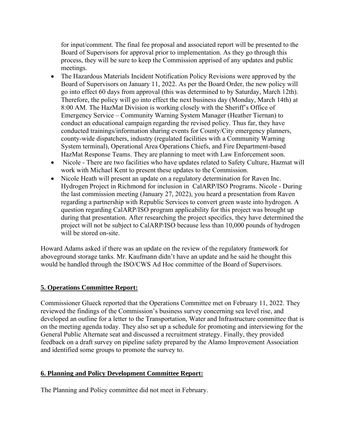for input/comment. The final fee proposal and associated report will be presented to the Board of Supervisors for approval prior to implementation. As they go through this process, they will be sure to keep the Commission apprised of any updates and public meetings.

- The Hazardous Materials Incident Notification Policy Revisions were approved by the Board of Supervisors on January 11, 2022. As per the Board Order, the new policy will go into effect 60 days from approval (this was determined to by Saturday, March 12th). Therefore, the policy will go into effect the next business day (Monday, March 14th) at 8:00 AM. The HazMat Division is working closely with the Sheriff's Office of Emergency Service – Community Warning System Manager (Heather Tiernan) to conduct an educational campaign regarding the revised policy. Thus far, they have conducted trainings/information sharing events for County/City emergency planners, county-wide dispatchers, industry (regulated facilities with a Community Warning System terminal), Operational Area Operations Chiefs, and Fire Department-based HazMat Response Teams. They are planning to meet with Law Enforcement soon.
- Nicole There are two facilities who have updates related to Safety Culture, Hazmat will work with Michael Kent to present these updates to the Commission.
- Nicole Heath will present an update on a regulatory determination for Raven Inc. Hydrogen Project in Richmond for inclusion in CalARP/ISO Programs. Nicole - During the last commission meeting (January 27, 2022), you heard a presentation from Raven regarding a partnership with Republic Services to convert green waste into hydrogen. A question regarding CalARP/ISO program applicability for this project was brought up during that presentation. After researching the project specifics, they have determined the project will not be subject to CalARP/ISO because less than 10,000 pounds of hydrogen will be stored on-site.

Howard Adams asked if there was an update on the review of the regulatory framework for aboveground storage tanks. Mr. Kaufmann didn't have an update and he said he thought this would be handled through the ISO/CWS Ad Hoc committee of the Board of Supervisors.

## **5. Operations Committee Report:**

Commissioner Glueck reported that the Operations Committee met on February 11, 2022. They reviewed the findings of the Commission's business survey concerning sea level rise, and developed an outline for a letter to the Transportation, Water and Infrastructure committee that is on the meeting agenda today. They also set up a schedule for promoting and interviewing for the General Public Alternate seat and discussed a recruitment strategy. Finally, they provided feedback on a draft survey on pipeline safety prepared by the Alamo Improvement Association and identified some groups to promote the survey to.

## **6. Planning and Policy Development Committee Report:**

The Planning and Policy committee did not meet in February.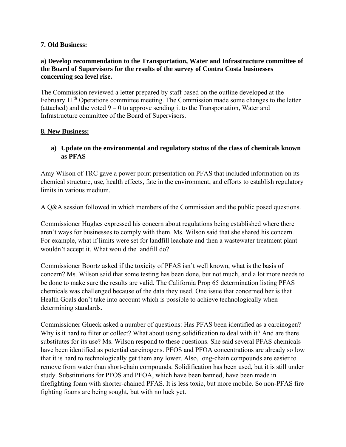## **7. Old Business:**

## **a) Develop recommendation to the Transportation, Water and Infrastructure committee of the Board of Supervisors for the results of the survey of Contra Costa businesses concerning sea level rise.**

The Commission reviewed a letter prepared by staff based on the outline developed at the February  $11<sup>th</sup>$  Operations committee meeting. The Commission made some changes to the letter (attached) and the voted  $9 - 0$  to approve sending it to the Transportation, Water and Infrastructure committee of the Board of Supervisors.

## **8. New Business:**

## **a) Update on the environmental and regulatory status of the class of chemicals known as PFAS**

Amy Wilson of TRC gave a power point presentation on PFAS that included information on its chemical structure, use, health effects, fate in the environment, and efforts to establish regulatory limits in various medium.

A Q&A session followed in which members of the Commission and the public posed questions.

Commissioner Hughes expressed his concern about regulations being established where there aren't ways for businesses to comply with them. Ms. Wilson said that she shared his concern. For example, what if limits were set for landfill leachate and then a wastewater treatment plant wouldn't accept it. What would the landfill do?

Commissioner Boortz asked if the toxicity of PFAS isn't well known, what is the basis of concern? Ms. Wilson said that some testing has been done, but not much, and a lot more needs to be done to make sure the results are valid. The California Prop 65 determination listing PFAS chemicals was challenged because of the data they used. One issue that concerned her is that Health Goals don't take into account which is possible to achieve technologically when determining standards.

Commissioner Glueck asked a number of questions: Has PFAS been identified as a carcinogen? Why is it hard to filter or collect? What about using solidification to deal with it? And are there substitutes for its use? Ms. Wilson respond to these questions. She said several PFAS chemicals have been identified as potential carcinogens. PFOS and PFOA concentrations are already so low that it is hard to technologically get them any lower. Also, long-chain compounds are easier to remove from water than short-chain compounds. Solidification has been used, but it is still under study. Substitutions for PFOS and PFOA, which have been banned, have been made in firefighting foam with shorter-chained PFAS. It is less toxic, but more mobile. So non-PFAS fire fighting foams are being sought, but with no luck yet.